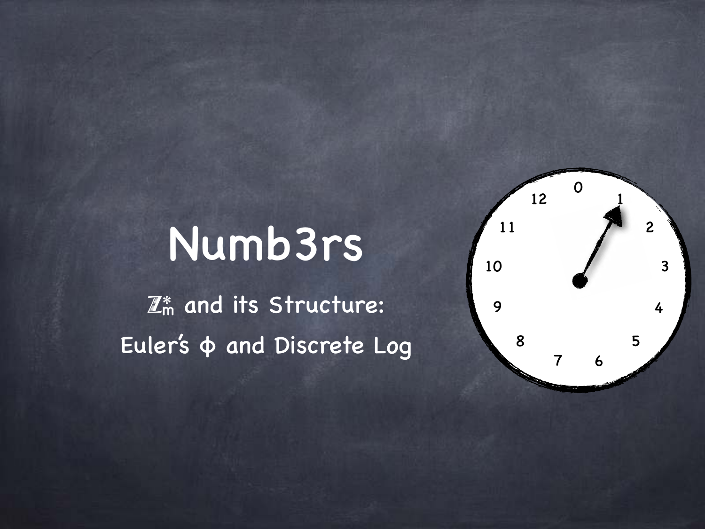#### Numb3rs

 $\boxed{\mathbb{Z}_\mathsf{m}^*}$  and its Structure: Euler's φ and Discrete Log

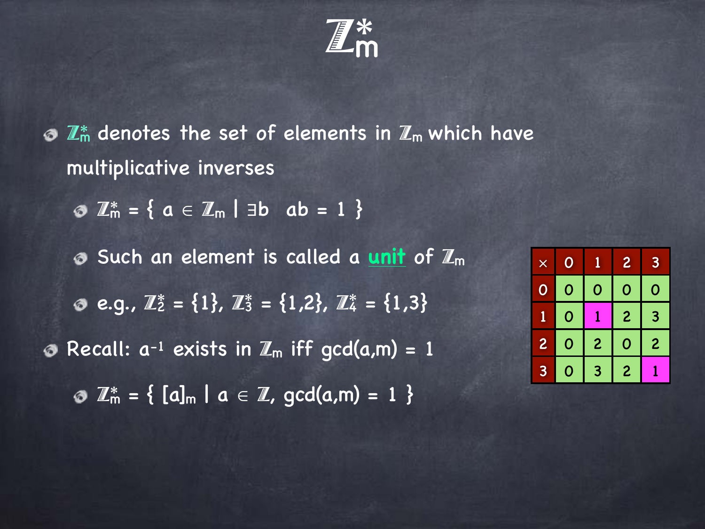$\mathbb{Z}_\mathsf{m}^*$ 

 $\odot$   $\mathbb{Z}_m^*$  denotes the set of elements in  $\mathbb{Z}_m$  which have multiplicative inverses

**3**  $\mathbb{Z}_m^* = \{ a \in \mathbb{Z}_m \mid \exists b \; ab = 1 \}$ 

**Such an element is called a unit of**  $\mathbb{Z}_m$ e.g.,  $\mathbb{Z}_2^* = \{1\}$ ,  $\mathbb{Z}_3^* = \{1,2\}$ ,  $\mathbb{Z}_4^* = \{1,3\}$ • Recall:  $a^{-1}$  exists in  $\mathbb{Z}_m$  iff gcd(a,m) = 1  $\odot$   $\mathbb{Z}_m^* = \{ [a]_m | a \in \mathbb{Z}, \text{gcd}(a,m) = 1 \}$ 

| $\overline{\mathsf{x}}$ | O           |                | $\overline{2}$      | 3              |
|-------------------------|-------------|----------------|---------------------|----------------|
| $\ddot{\bullet}$        | $\mathbf 0$ | 0              | O                   | 0              |
|                         | 0           |                | $\overline{c}$      | 3              |
| $\overline{c}$          | 0           | $\overline{c}$ | O                   | $\overline{2}$ |
| 3                       | 0           | 3              | $\ddot{\mathbf{c}}$ |                |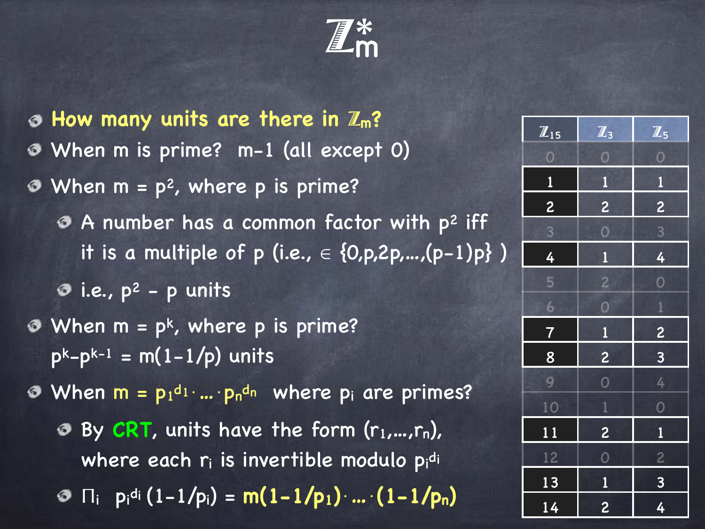Z\*m

**How many units are there in** Z**m?** When m is prime? m-1 (all except 0)  $\odot$  When  $m = p^2$ , where p is prime?  $\bullet$  A number has a common factor with  $p^2$  iff it is a multiple of p (i.e.,  $\in \{0, p, 2p,...,(p-1)p\}$ )  $\odot$  i.e.,  $p^2$  - p units  $\bullet$  When m = pk, where p is prime?  $p^{k}-p^{k-1} = m(1-1/p)$  units When  $m = p_1$ di·...· $p_n$ dn where  $p_i$  are primes? By CRT, units have the form  $(r_1,...,r_n)$ , ぁ where each  $\mathsf{r}_\mathsf{i}$  is invertible modulo  $\mathsf{p}_\mathsf{i}^{\mathsf{d}_\mathsf{i}}$  $\Pi_i$   $p_i$ <sup>d<sub>i</sub></sup>  $(1-1/p_i) = m(1-1/p_1) \cdot ... \cdot (1-1/p_n)$ 

| $\overline{\mathbb{Z}}_{15}$ | $\overline{\mathbb{Z}}_3$ | $\overline{\mathbb{Z}_5}$ |
|------------------------------|---------------------------|---------------------------|
| $\overline{0}$               | $\overline{\mathbf{O}}$   | $\overline{O}$            |
| $\overline{\mathbf{1}}$      | $\overline{\mathbf{1}}$   | $\mathbf{1}$              |
| $\overline{2}$               | $\overline{c}$            | $\overline{c}$            |
| $\overline{\mathbf{3}}$      | $\overline{O}$            | $\frac{1}{3}$             |
| 4                            | $\mathbf{1}$              | 4                         |
| 5                            | $\overline{c}$            | $\overline{0}$            |
| 6                            | $\overline{\mathbf{O}}$   | $\overline{1}$            |
| $\overline{7}$               | $\mathbf{1}$              | $\overline{\mathbf{c}}$   |
| 8                            | $\overline{c}$            | $\overline{\mathbf{3}}$   |
| 9                            | $\overline{O}$            | 4                         |
| 10                           | $\mathbf{1}$              | $\overline{O}$            |
| 11                           | $\overline{2}$            | $\overline{\mathbf{1}}$   |
| 12                           | $\overline{O}$            | $\overline{c}$            |
| 13                           | $\overline{\mathbf{1}}$   | $\overline{\mathbf{3}}$   |
| 14                           | $\overline{\mathbf{c}}$   | 4                         |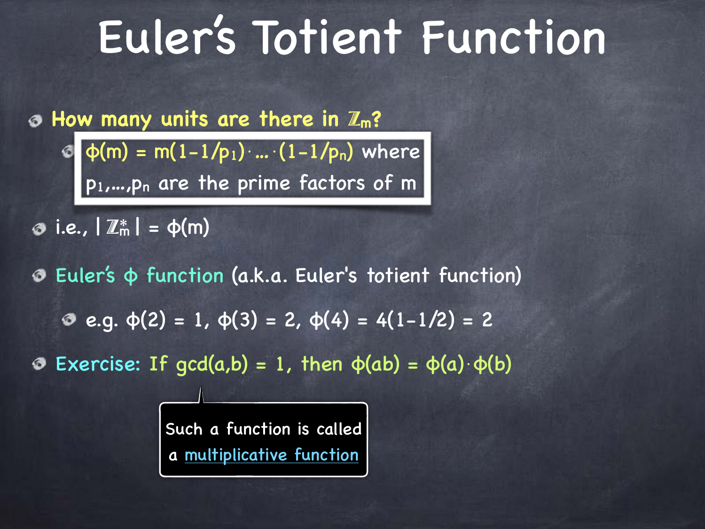#### Euler's Totient Function

**How many units are there in** Z**m?**

 $\bullet$  φ(m) = m(1-1/p<sub>1</sub>)⋅....(1-1/p<sub>n</sub>) where p1,…,pn are the prime factors of m

 $\odot$  i.e.,  $|\mathbb{Z}_{m}^{*}| = \phi(m)$ 

Euler's φ function (a.k.a. Euler's totient function)  $e. q. φ(2) = 1, φ(3) = 2, φ(4) = 4(1-1/2) = 2$ 

Exercise: If gcd(a,b) = 1, then φ(ab) = φ(a)⋅φ(b)

Such a function is called a multiplicative function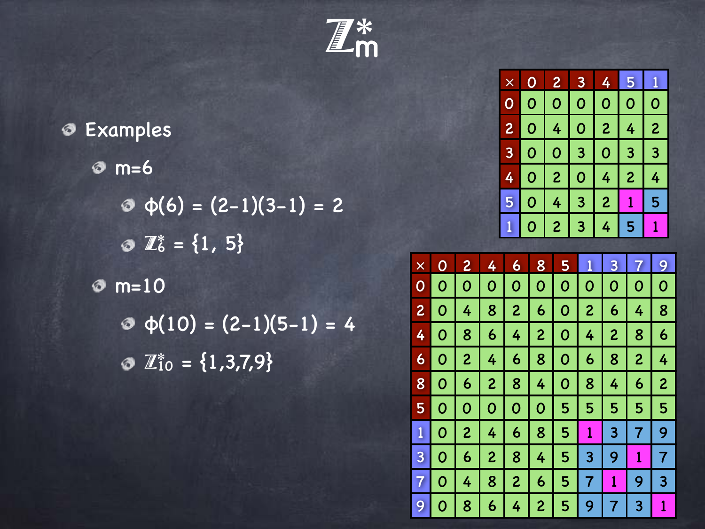Z\*m

|  | <b>Examples</b>                                          |
|--|----------------------------------------------------------|
|  | $\odot$ m=6                                              |
|  | $\Phi$ $\phi$ (6) = (2-1)(3-1) = 2                       |
|  | $\odot$ $\mathbb{Z}_6^* = \{1, 5\}$                      |
|  | $\odot$ m=10                                             |
|  | $\Phi(10) = (2-1)(5-1) = 4$                              |
|  | $\bullet$ $\overline{\mathbb{Z}}_{10}^{*} = \{1,3,7,9\}$ |

K.

| Х              |   | 2              | $\boldsymbol{\theta}$ | 4.                      | 15             |                |
|----------------|---|----------------|-----------------------|-------------------------|----------------|----------------|
|                | O | 0              | 0                     | O                       | 0              | 0              |
| $\overline{c}$ | O | 4 <sup>1</sup> | 0                     | $\overline{\mathbf{c}}$ | 4              | $\overline{2}$ |
| 3 <sup>1</sup> | O | 0              | 3 <sup>1</sup>        | O                       | 3              | 3              |
| 4              | 0 | 2 <sup>1</sup> | 0                     | 4                       | 2 <sup>1</sup> | 4              |
| 5              | 0 | 4              | 3                     | $\overline{2}$          | I              | 5              |
|                | O | $\mathbf{2}$   | $\overline{3}$        | 4                       | 5              |                |

| $\times$       |   | 2                | 4                | 6              | 8 | 5 |                | 3            |                  | 9 |
|----------------|---|------------------|------------------|----------------|---|---|----------------|--------------|------------------|---|
| 0              | 0 | 0                | 0                | 0              | 0 | 0 | 0              | 0            | 0                | 0 |
| $\overline{c}$ | 0 | 4                | 8                | $\overline{c}$ | 6 | 0 | $\overline{c}$ | 6            | 4                | 8 |
| 4              | 0 | 8                | 6                | 4              | 2 | 0 | 4              | 2            | 8                | 6 |
| 6              | 0 | 2                | 4                | 6              | 8 | O | 6              | 8            | $\boldsymbol{2}$ | 4 |
| 8              | O | 6                | 2                | 8              | 4 | 0 | 8              | 4            | 6                | 2 |
| 5              | 0 | 0                | 0                | 0              | 0 | 5 | 5              | 5            | 5                | 5 |
| 1              | 0 | $\boldsymbol{2}$ | 4                | 6              | 8 | 5 | 1              | 3            | 7                | 9 |
| 3              | 0 | 6                | $\boldsymbol{2}$ | 8              | 4 | 5 | 3              | 9            | 1                | 7 |
| 7              | 0 | 4                | 8                | $\overline{c}$ | 6 | 5 | 7              | $\mathbf{1}$ | 9                | 3 |
| 9              | 0 | 8                | 6                | 4              | 2 | 5 | 9              | 7            | 3                | 1 |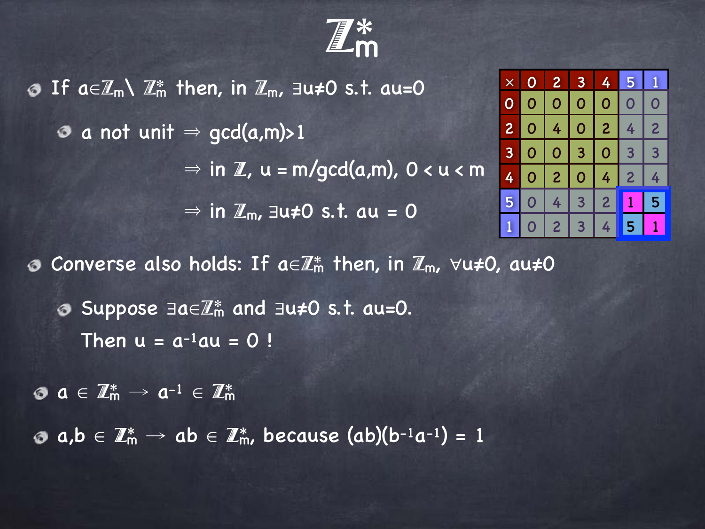

**O** If a∈ $\mathbb{Z}_m \setminus \mathbb{Z}_m^*$  then, in  $\mathbb{Z}_m$ ,  $\exists u \neq 0$  s.t. au=0  $\bullet$  a not unit  $\Rightarrow$  gcd(a,m)>1  $\Rightarrow$  in  $\mathbb{Z}$ ,  $u = m/qcd(a,m)$ ,  $0 < u < m$  $\Rightarrow$  in  $\mathbb{Z}_m$ , ∃u≠0 s.t. au = 0 **O** Converse also holds: If a∈ $\mathbb{Z}_m^*$  then, in  $\mathbb{Z}_m$ ,  $\forall u\neq 0$ , au≠0 Suppose ∃a∈Z\*m and ∃u≠0 s.t. au=0. Then  $u = a^{-1}au = 0$ !

 $\mathbf{a} \in \mathbb{Z}_{m}^{*} \to \mathbf{a}^{-1} \in \mathbb{Z}_{m}^{*}$ 

 $\bullet$  a,b  $\in \mathbb{Z}_m^* \to ab \in \mathbb{Z}_m^*$ , because (ab)(b-1a-1) = 1

| $\overline{\mathsf{x}}$ | 0   | 2 <sub>1</sub> | 3 <sup>1</sup> | 4              | $\boldsymbol{\mathfrak{g}}$ |                |  |
|-------------------------|-----|----------------|----------------|----------------|-----------------------------|----------------|--|
|                         | 0   | $\overline{0}$ | $\overline{0}$ | $\overline{0}$ | 0                           | Ō              |  |
| 2 <sup>1</sup>          | 0   | 4 <sup>1</sup> |                | $0$   2  <br>4 |                             | $\overline{2}$ |  |
| 3 <sup>1</sup>          | 0 I | 0              | 3 <sup>1</sup> | $\bullet$      | 3                           | 3              |  |
| $\boldsymbol{\varphi}$  | 0   | 2 <sup>1</sup> | $\mathbf 0$    | 4              | $\overline{2}$              | 4              |  |
| 5 <sub>1</sub>          | O   | 4              | $\overline{3}$ | $\overline{c}$ |                             | 5              |  |
|                         | O   | $\overline{2}$ | $\overline{3}$ | 4              | $\blacklozenge$             |                |  |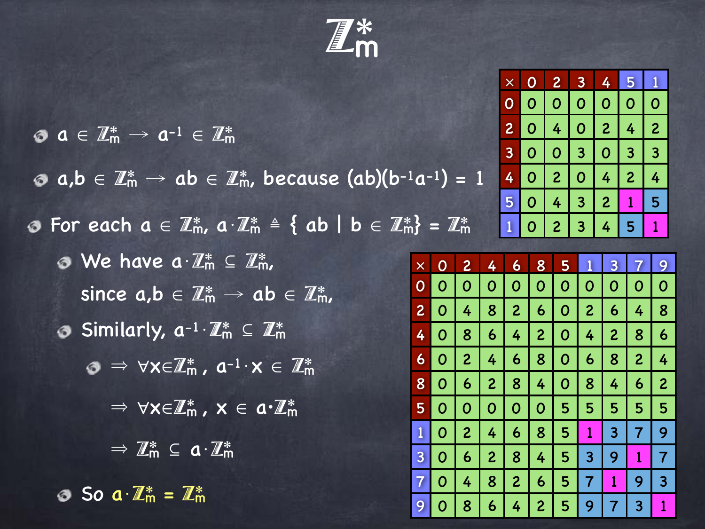Z\*m

× 0 2 3 4 5 1

|                                                                                                                                              |                      |                |                |                | $\overline{0}$ | $\overline{O}$ | $\overline{O}$ | $\begin{array}{c c} \hline \circ & \circ \end{array}$ |                | $\mathbf 0$    | $\overline{O}$   |
|----------------------------------------------------------------------------------------------------------------------------------------------|----------------------|----------------|----------------|----------------|----------------|----------------|----------------|-------------------------------------------------------|----------------|----------------|------------------|
| $\mathbf{0} \ \mathbf{a} \in \mathbb{Z}_{m}^{*} \to \mathbf{a}^{-1} \in \mathbb{Z}_{m}^{*}$                                                  |                      |                | $\overline{2}$ | $\Omega$       | $\overline{4}$ | $\mathbf{0}$   | $\overline{2}$ | $\frac{1}{4}$                                         | $\overline{2}$ |                |                  |
|                                                                                                                                              |                      |                |                |                | 3              | $\Omega$       | $\mathbf{O}$   | 3 <sup>1</sup>                                        | $\mathbf{0}$   | 3 <sup>1</sup> | 3 <sup>1</sup>   |
| $\circ$ a,b $\in \mathbb{Z}_m^* \to$ ab $\in \mathbb{Z}_m^*$ , because (ab)(b-1a-1) = 1<br>4                                                 |                      |                |                |                |                | $\mathbf{0}$   | 2 <sup>1</sup> | $\mathbf{0}$                                          | $\frac{1}{4}$  | $\overline{2}$ | $\frac{1}{4}$    |
|                                                                                                                                              |                      |                |                |                | 5              | $\mathbf{O}$   | $\overline{4}$ | 3 <sup>1</sup>                                        | $\overline{2}$ | $\mathbf{1}$   | 5 <sup>1</sup>   |
| <b>O</b> For each $a \in \mathbb{Z}_m^*$ , $a \cdot \mathbb{Z}_m^* \triangleq \{ ab \mid b \in \mathbb{Z}_m^* \} = \mathbb{Z}_m^*$           |                      |                |                |                |                | $\overline{O}$ | 2 <sup>1</sup> | 3 <sup>1</sup>                                        | $\frac{1}{4}$  | 5 <sub>1</sub> | $\vert 1 \vert$  |
|                                                                                                                                              |                      |                |                |                |                |                |                |                                                       |                |                |                  |
| $\odot$ We have $a \cdot \mathbb{Z}_m^* \subseteq \mathbb{Z}_m^*$ ,                                                                          | $\times$<br>$\Omega$ | $\Omega$       | $\overline{2}$ | $\frac{1}{4}$  | $\mathbf{6}$   | 8              | 5 <sup>1</sup> |                                                       | $\overline{3}$ | $\overline{7}$ | 9                |
| since $a,b \in \mathbb{Z}_m^* \to ab \in \mathbb{Z}_m^*$ ,                                                                                   |                      | $\Omega$       | $\mathbf{O}$   | $\mathbf{0}$   | $\overline{O}$ | $\mathbf{0}$   | $\mathbf{O}$   | $\overline{O}$                                        | $\mathbf{0}$   | $\Omega$       | $\mathbf 0$      |
|                                                                                                                                              |                      | $\overline{0}$ | 4 <sup>1</sup> | 8 <sup>°</sup> | $\overline{2}$ | $\mathbf{6}$   | $\mathbf{O}$   | 2 <sup>1</sup>                                        | 6 <sup>1</sup> | 4 <sup>1</sup> | 8                |
| Similarly, $a^{-1} \cdot \mathbb{Z}_m^* \subseteq \mathbb{Z}_m^*$                                                                            | 4                    | $\overline{O}$ | 8 <sup>°</sup> | $\overline{6}$ | $\frac{1}{4}$  | $\overline{2}$ | $\mathbf{0}$   | $\frac{1}{4}$                                         | 2 <sup>1</sup> | 8 <sup>°</sup> | $\boldsymbol{6}$ |
| $\mathbf{0} \Rightarrow \forall \mathsf{x} \in \mathbb{Z}_{\mathsf{m}}^*$ , $\mathbf{a}^{-1} \cdot \mathsf{x} \in \mathbb{Z}_{\mathsf{m}}^*$ |                      | 60             | 2 <sup>1</sup> | 4              | 6 <sup>1</sup> | 8 <sup>°</sup> | $\mathbf{O}$   | 6 <sup>1</sup>                                        | 8 <sup>°</sup> | 2 <sup>1</sup> | $\overline{4}$   |
|                                                                                                                                              | 8 <sup>1</sup>       | $\overline{0}$ | 6 <sup>1</sup> | 2 <sup>1</sup> | 8              | $\frac{1}{4}$  | $\mathbf{0}$   | 8 <sup>°</sup>                                        | $\frac{1}{4}$  | 6              | $\overline{c}$   |
| $\Rightarrow \forall x \in \mathbb{Z}_{m}^*$ , $x \in \mathfrak{a} \cdot \mathbb{Z}_{m}^*$                                                   | 5 <sup>1</sup>       | $\mathbf{O}$   | $\overline{O}$ | $\overline{0}$ | $\overline{0}$ | $\mathbf{0}$   | 5 <sup>1</sup> | 5 <sup>5</sup>                                        | $5\phantom{1}$ | 5 <sup>1</sup> | 5                |
|                                                                                                                                              |                      | $\Omega$       | 2 <sup>1</sup> | $\frac{1}{4}$  | 6 <sup>1</sup> | 8              | 5 <sup>1</sup> | $\mathbf{1}$                                          | 3 <sup>1</sup> | 7 <sup>1</sup> | 9                |
| $\Rightarrow \mathbb{Z}_m^* \subseteq \mathbf{a} \cdot \mathbb{Z}_m^*$                                                                       | $\overline{3}$       | $\Omega$       | 6 <sup>1</sup> | $\overline{2}$ | 8              | $\overline{4}$ | 5 <sup>1</sup> | 3 <sup>1</sup>                                        | 9              |                | $\overline{7}$   |
|                                                                                                                                              | $\overline{7}$       | $\Omega$       | $\frac{1}{4}$  | 8              | $\overline{2}$ | $\mathbf{6}$   | 5 <sup>1</sup> | $\overline{7}$                                        | $\mathbf{1}$   | 9              | $\overline{3}$   |
| $\odot$ So a $\mathbb{Z}_m^* = \mathbb{Z}_m^*$                                                                                               | 9                    | O              | 8              | 6              | $\frac{1}{4}$  | 2 <sup>1</sup> | 5 <sup>1</sup> | 9                                                     |                | 3 <sup>1</sup> |                  |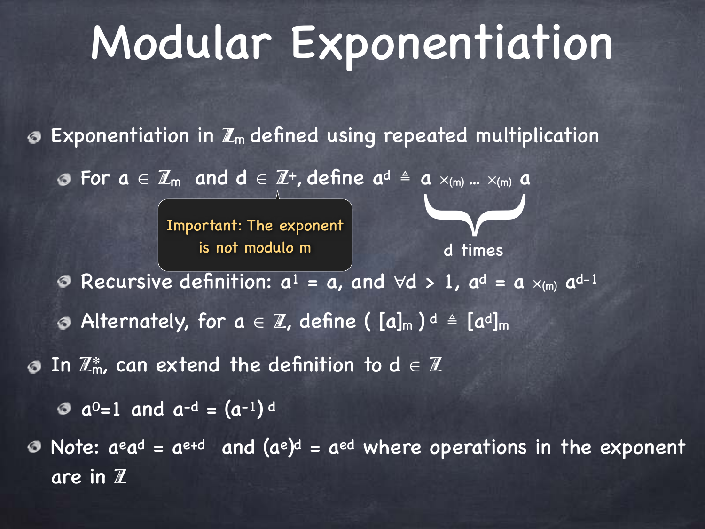## Modular Exponentiation

Exponentiation in  $\mathbb{Z}_m$  defined using repeated multiplication

For  $a \in \mathbb{Z}_m$  and  $d \in \mathbb{Z}^+$ , define  $a^d \triangleq a \times_{(m)} ... \times_{(m)} a$ 

Important: The exponent is <u>not</u> modulo m d times

 $\blacktriangleright$ 

Recursive definition:  $a^1 = a$ , and  $\forall d > 1$ ,  $a^d = a \times_{(m)} a^{d-1}$ ◉

Alternately, for  $a \in \mathbb{Z}$ , define (  $[a]_m$  )  $d \text{ } \triangleq \text{ } [a^d]_m$ 

In  $\mathbb{Z}_m^*$ , can extend the definition to  $d \in \mathbb{Z}$  $\bullet$ 

 $a^0$ =1 and  $a^{-d}$  =  $(a^{-1})^d$ 

Note:  $a^{\text{e}}a^{\text{d}} = a^{\text{e+d}}$  and  $(a^{\text{e}})^{\text{d}} = a^{\text{ed}}$  where operations in the exponent are in Z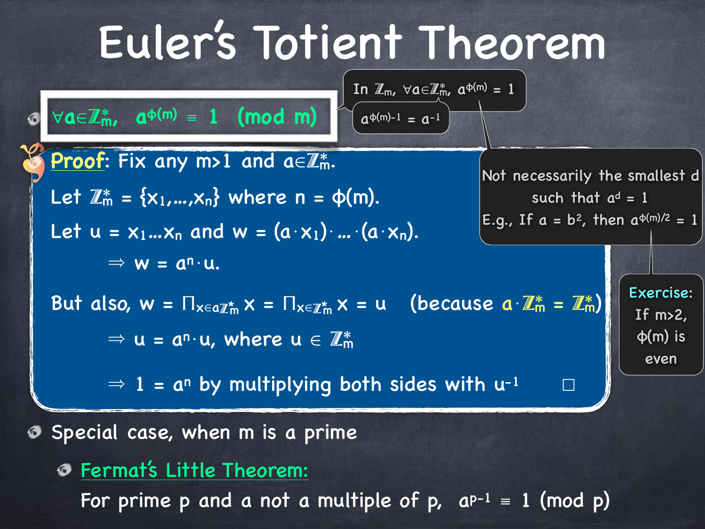# Euler's Totient Theorem



For prime p and a not a multiple of p,  $a^{p-1} = 1 \pmod{p}$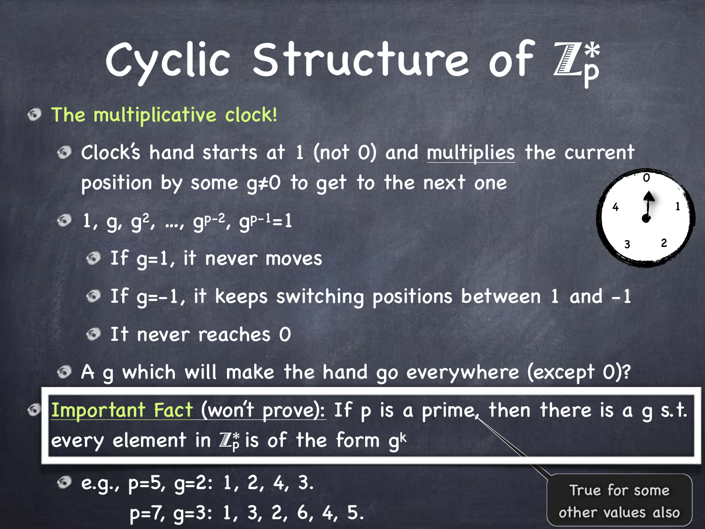# Cyclic Structure of  $\mathbb{Z}_p^*$

- The multiplicative clock!
	- Clock's hand starts at 1 (not 0) and multiplies the current position by some g≠0 to get to the next one
	- $9$  1, g, g<sup>2</sup>, ..., g<sup>p-2</sup>, g<sup>p-1</sup>=1
		- **O** If g=1, it never moves
		- If g=-1, it keeps switching positions between 1 and -1
		- **O** It never reaches 0
	- A g which will make the hand go everywhere (except 0)?

Important Fact (won't prove): If p is a prime, then there is a g s.t. every element in  $\mathbb{Z}_p^*$  is of the form gk

e.g., p=5, g=2: 1, 2, 4, 3. p=7, g=3: 1, 3, 2, 6, 4, 5.

True for some other values also

1

3 2

 $\overline{0}$ 

4